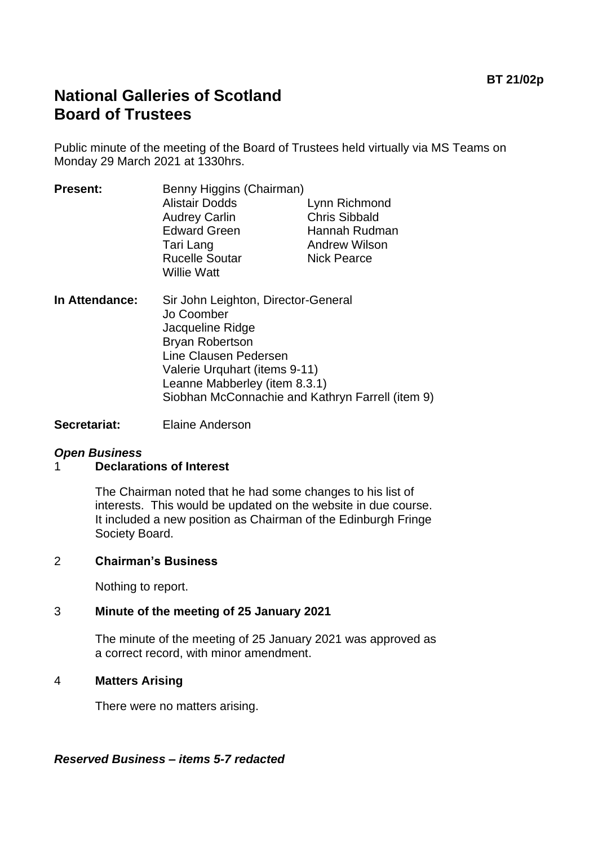# **National Galleries of Scotland Board of Trustees**

Public minute of the meeting of the Board of Trustees held virtually via MS Teams on Monday 29 March 2021 at 1330hrs.

| <b>Present:</b> | Benny Higgins (Chairman) |                      |
|-----------------|--------------------------|----------------------|
|                 | <b>Alistair Dodds</b>    | Lynn Richmond        |
|                 | <b>Audrey Carlin</b>     | <b>Chris Sibbald</b> |
|                 | <b>Edward Green</b>      | Hannah Rudman        |
|                 | Tari Lang                | <b>Andrew Wilson</b> |
|                 | <b>Rucelle Soutar</b>    | <b>Nick Pearce</b>   |
|                 | <b>Willie Watt</b>       |                      |
|                 |                          |                      |

- **In Attendance:** Sir John Leighton, Director-General Jo Coomber Jacqueline Ridge Bryan Robertson Line Clausen Pedersen Valerie Urquhart (items 9-11) Leanne Mabberley (item 8.3.1) Siobhan McConnachie and Kathryn Farrell (item 9)
- **Secretariat:** Elaine Anderson

## *Open Business*

## 1 **Declarations of Interest**

The Chairman noted that he had some changes to his list of interests. This would be updated on the website in due course. It included a new position as Chairman of the Edinburgh Fringe Society Board.

## 2 **Chairman's Business**

Nothing to report.

## 3 **Minute of the meeting of 25 January 2021**

The minute of the meeting of 25 January 2021 was approved as a correct record, with minor amendment.

## 4 **Matters Arising**

There were no matters arising.

## *Reserved Business – items 5-7 redacted*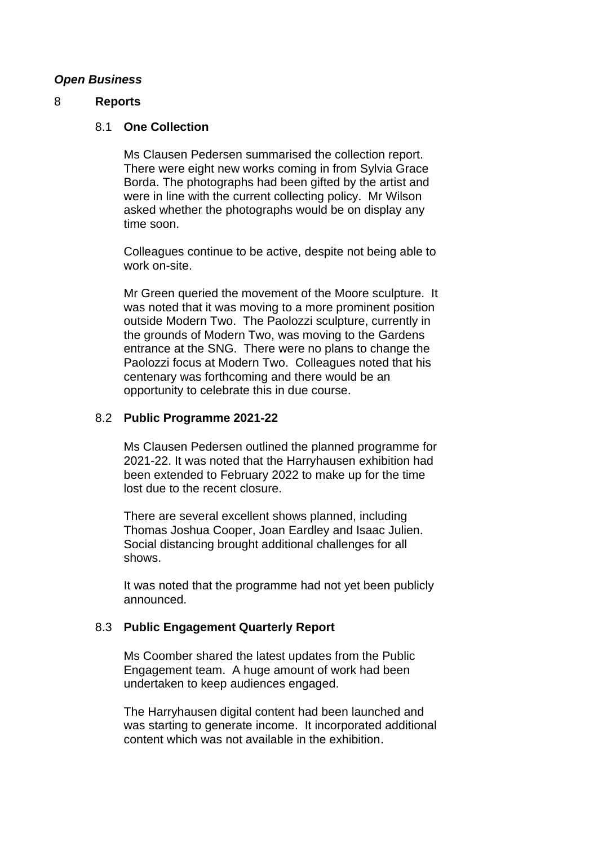### *Open Business*

#### 8 **Reports**

### 8.1 **One Collection**

Ms Clausen Pedersen summarised the collection report. There were eight new works coming in from Sylvia Grace Borda. The photographs had been gifted by the artist and were in line with the current collecting policy. Mr Wilson asked whether the photographs would be on display any time soon.

Colleagues continue to be active, despite not being able to work on-site.

Mr Green queried the movement of the Moore sculpture. It was noted that it was moving to a more prominent position outside Modern Two. The Paolozzi sculpture, currently in the grounds of Modern Two, was moving to the Gardens entrance at the SNG. There were no plans to change the Paolozzi focus at Modern Two. Colleagues noted that his centenary was forthcoming and there would be an opportunity to celebrate this in due course.

## 8.2 **Public Programme 2021-22**

Ms Clausen Pedersen outlined the planned programme for 2021-22. It was noted that the Harryhausen exhibition had been extended to February 2022 to make up for the time lost due to the recent closure.

There are several excellent shows planned, including Thomas Joshua Cooper, Joan Eardley and Isaac Julien. Social distancing brought additional challenges for all shows.

It was noted that the programme had not yet been publicly announced.

## 8.3 **Public Engagement Quarterly Report**

Ms Coomber shared the latest updates from the Public Engagement team. A huge amount of work had been undertaken to keep audiences engaged.

The Harryhausen digital content had been launched and was starting to generate income. It incorporated additional content which was not available in the exhibition.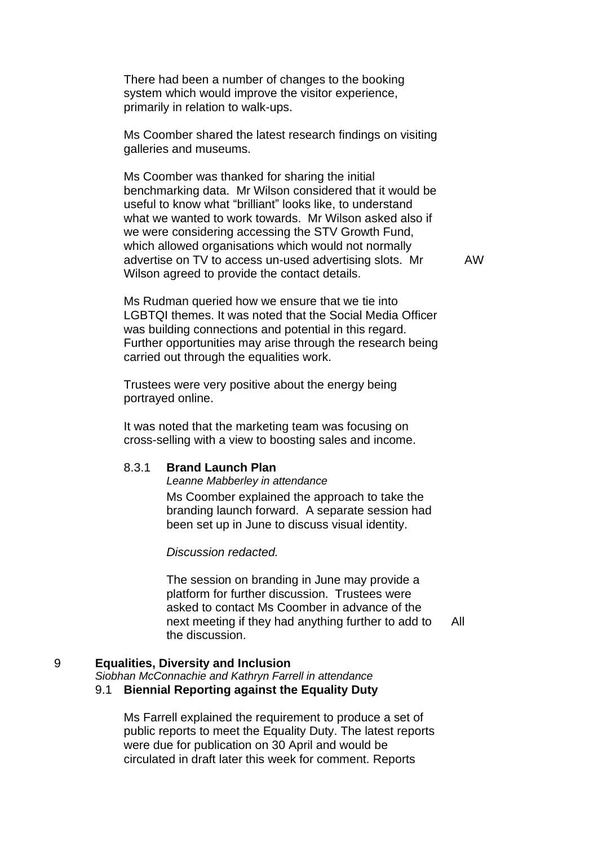There had been a number of changes to the booking system which would improve the visitor experience, primarily in relation to walk-ups.

Ms Coomber shared the latest research findings on visiting galleries and museums.

Ms Coomber was thanked for sharing the initial benchmarking data. Mr Wilson considered that it would be useful to know what "brilliant" looks like, to understand what we wanted to work towards. Mr Wilson asked also if we were considering accessing the STV Growth Fund, which allowed organisations which would not normally advertise on TV to access un-used advertising slots. Mr Wilson agreed to provide the contact details.

AW

Ms Rudman queried how we ensure that we tie into LGBTQI themes. It was noted that the Social Media Officer was building connections and potential in this regard. Further opportunities may arise through the research being carried out through the equalities work.

Trustees were very positive about the energy being portrayed online.

It was noted that the marketing team was focusing on cross-selling with a view to boosting sales and income.

#### 8.3.1 **Brand Launch Plan**

*Leanne Mabberley in attendance* Ms Coomber explained the approach to take the branding launch forward. A separate session had been set up in June to discuss visual identity.

*Discussion redacted.*

The session on branding in June may provide a platform for further discussion. Trustees were asked to contact Ms Coomber in advance of the next meeting if they had anything further to add to the discussion.

All

#### 9 **Equalities, Diversity and Inclusion**

*Siobhan McConnachie and Kathryn Farrell in attendance*

### 9.1 **Biennial Reporting against the Equality Duty**

Ms Farrell explained the requirement to produce a set of public reports to meet the Equality Duty. The latest reports were due for publication on 30 April and would be circulated in draft later this week for comment. Reports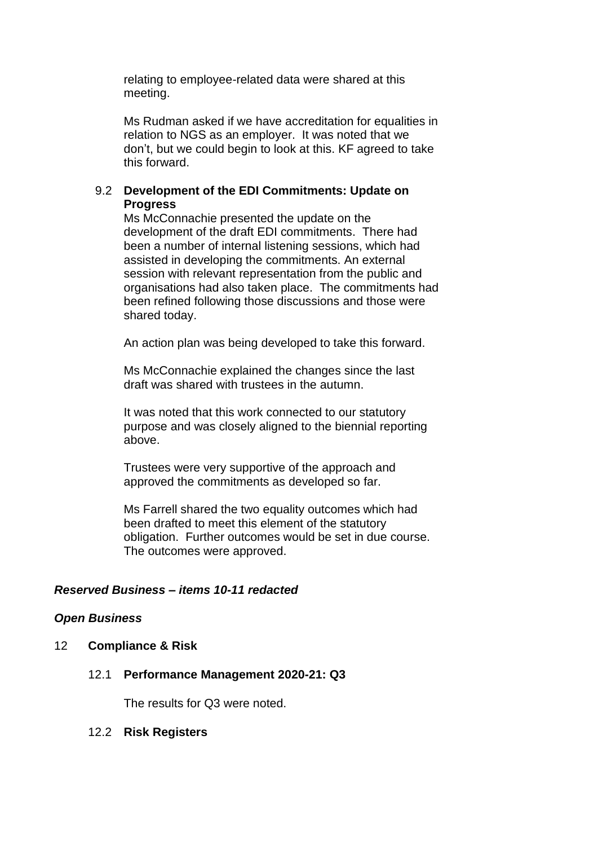relating to employee-related data were shared at this meeting.

Ms Rudman asked if we have accreditation for equalities in relation to NGS as an employer. It was noted that we don't, but we could begin to look at this. KF agreed to take this forward.

## 9.2 **Development of the EDI Commitments: Update on Progress**

Ms McConnachie presented the update on the development of the draft EDI commitments. There had been a number of internal listening sessions, which had assisted in developing the commitments. An external session with relevant representation from the public and organisations had also taken place. The commitments had been refined following those discussions and those were shared today.

An action plan was being developed to take this forward.

Ms McConnachie explained the changes since the last draft was shared with trustees in the autumn.

It was noted that this work connected to our statutory purpose and was closely aligned to the biennial reporting above.

Trustees were very supportive of the approach and approved the commitments as developed so far.

Ms Farrell shared the two equality outcomes which had been drafted to meet this element of the statutory obligation. Further outcomes would be set in due course. The outcomes were approved.

## *Reserved Business – items 10-11 redacted*

## *Open Business*

## 12 **Compliance & Risk**

#### 12.1 **Performance Management 2020-21: Q3**

The results for Q3 were noted.

#### 12.2 **Risk Registers**